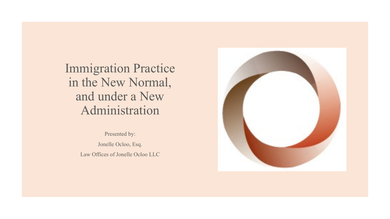Immigration Practice in the New Normal, and under a New Administration

Presented by:

Jonelle Ocloo, Esq.

Law Offices of Jonelle Ocloo LLC

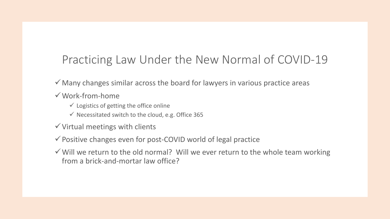### Practicing Law Under the New Normal of COVID-19

 $\checkmark$  Many changes similar across the board for lawyers in various practice areas

Work-from-home

- $\checkmark$  Logistics of getting the office online
- $\checkmark$  Necessitated switch to the cloud, e.g. Office 365

 $\checkmark$  Virtual meetings with clients

- $\checkmark$  Positive changes even for post-COVID world of legal practice
- $\checkmark$  Will we return to the old normal? Will we ever return to the whole team working from a brick-and-mortar law office?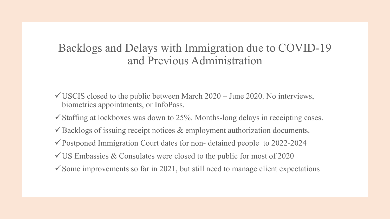### Backlogs and Delays with Immigration due to COVID-19 and Previous Administration

- $\checkmark$  USCIS closed to the public between March 2020 June 2020. No interviews, biometrics appointments, or InfoPass.
- $\checkmark$  Staffing at lockboxes was down to 25%. Months-long delays in receipting cases.
- $\checkmark$  Backlogs of issuing receipt notices & employment authorization documents.
- Postponed Immigration Court dates for non- detained people to 2022-2024
- $\checkmark$  US Embassies & Consulates were closed to the public for most of 2020
- $\checkmark$  Some improvements so far in 2021, but still need to manage client expectations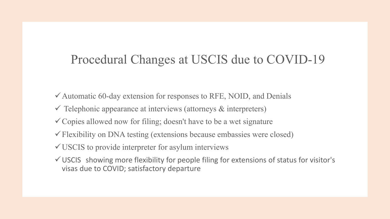### Procedural Changes at USCIS due to COVID-19

- $\checkmark$  Automatic 60-day extension for responses to RFE, NOID, and Denials
- $\checkmark$  Telephonic appearance at interviews (attorneys  $\&$  interpreters)
- $\checkmark$  Copies allowed now for filing; doesn't have to be a wet signature
- Flexibility on DNA testing (extensions because embassies were closed)
- USCIS to provide interpreter for asylum interviews
- $\checkmark$  USCIS showing more flexibility for people filing for extensions of status for visitor's visas due to COVID; satisfactory departure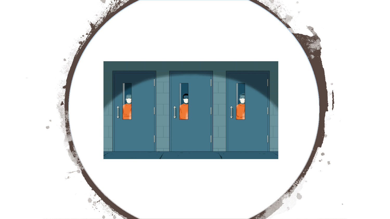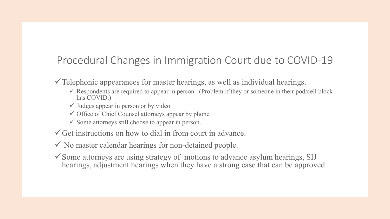#### Procedural Changes in Immigration Court due to COVID-19

- Telephonic appearances for master hearings, as well as individual hearings.
	- $\checkmark$  Respondents are required to appear in person. (Problem if they or someone in their pod/cell block has COVID.)
	- $\checkmark$  Judges appear in person or by video
	- $\checkmark$  Office of Chief Counsel attorneys appear by phone
	- $\checkmark$  Some attorneys still choose to appear in person.
- $\checkmark$  Get instructions on how to dial in from court in advance.
- $\checkmark$  No master calendar hearings for non-detained people.
- $\checkmark$  Some attorneys are using strategy of motions to advance asylum hearings, SIJ hearings, adjustment hearings when they have a strong case that can be approved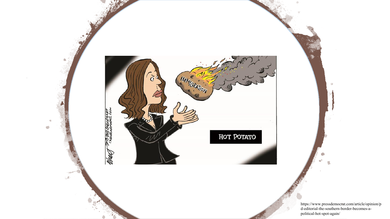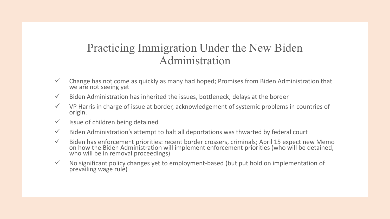### Practicing Immigration Under the New Biden Administration

- $\checkmark$  Change has not come as quickly as many had hoped; Promises from Biden Administration that we are not seeing yet
- $\checkmark$  Biden Administration has inherited the issues, bottleneck, delays at the border
- VP Harris in charge of issue at border, acknowledgement of systemic problems in countries of origin.
- $\checkmark$  Issue of children being detained
- $\checkmark$  Biden Administration's attempt to halt all deportations was thwarted by federal court
- Biden has enforcement priorities: recent border crossers, criminals; April 15 expect new Memo on how the Biden Administration will implement enforcement priorities (who will be detained, who will be in removal proceedings)
- $\checkmark$  No significant policy changes yet to employment-based (but put hold on implementation of prevailing wage rule)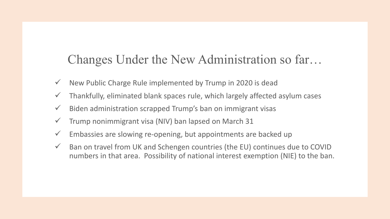# Changes Under the New Administration so far…

- $\checkmark$  New Public Charge Rule implemented by Trump in 2020 is dead
- $\checkmark$  Thankfully, eliminated blank spaces rule, which largely affected asylum cases
- $\checkmark$  Biden administration scrapped Trump's ban on immigrant visas
- $\checkmark$  Trump nonimmigrant visa (NIV) ban lapsed on March 31
- $\checkmark$  Embassies are slowing re-opening, but appointments are backed up
- $\checkmark$  Ban on travel from UK and Schengen countries (the EU) continues due to COVID numbers in that area. Possibility of national interest exemption (NIE) to the ban.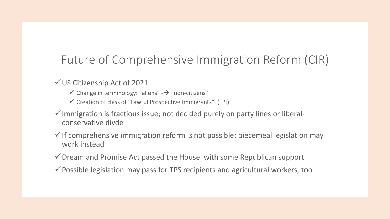## Future of Comprehensive Immigration Reform (CIR)

US Citizenship Act of 2021

- $\checkmark$  Change in terminology: "aliens" - $\hat{\to}$  "non-citizens"
- $\checkmark$  Creation of class of "Lawful Prospective Immigrants" (LPI)
- $\checkmark$  Immigration is fractious issue; not decided purely on party lines or liberalconservative divde
- $\checkmark$  If comprehensive immigration reform is not possible; piecemeal legislation may work instead
- $\checkmark$  Dream and Promise Act passed the House with some Republican support
- $\checkmark$  Possible legislation may pass for TPS recipients and agricultural workers, too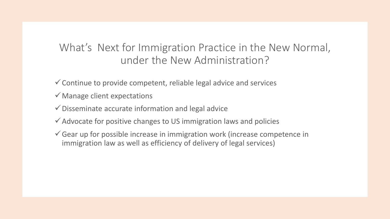### What's Next for Immigration Practice in the New Normal, under the New Administration?

- $\checkmark$  Continue to provide competent, reliable legal advice and services
- $\checkmark$  Manage client expectations
- $\checkmark$  Disseminate accurate information and legal advice
- $\checkmark$  Advocate for positive changes to US immigration laws and policies
- Gear up for possible increase in immigration work (increase competence in immigration law as well as efficiency of delivery of legal services)